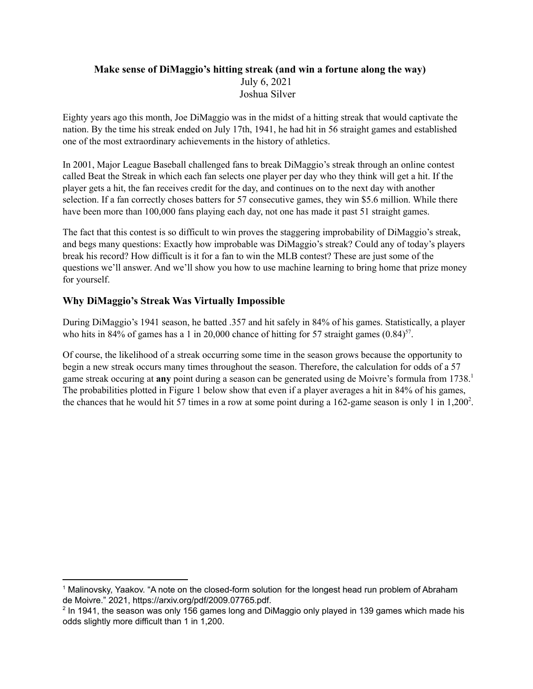# **Make sense of DiMaggio's hitting streak (and win a fortune along the way)** July 6, 2021 Joshua Silver

Eighty years ago this month, Joe DiMaggio was in the midst of a hitting streak that would captivate the nation. By the time his streak ended on July 17th, 1941, he had hit in 56 straight games and established one of the most extraordinary achievements in the history of athletics.

In 2001, Major League Baseball challenged fans to break DiMaggio's streak through an online contest called Beat the Streak in which each fan selects one player per day who they think will get a hit. If the player gets a hit, the fan receives credit for the day, and continues on to the next day with another selection. If a fan correctly choses batters for 57 consecutive games, they win \$5.6 million. While there have been more than 100,000 fans playing each day, not one has made it past 51 straight games.

The fact that this contest is so difficult to win proves the staggering improbability of DiMaggio's streak, and begs many questions: Exactly how improbable was DiMaggio's streak? Could any of today's players break his record? How difficult is it for a fan to win the MLB contest? These are just some of the questions we'll answer. And we'll show you how to use machine learning to bring home that prize money for yourself.

# **Why DiMaggio's Streak Was Virtually Impossible**

During DiMaggio's 1941 season, he batted .357 and hit safely in 84% of his games. Statistically, a player who hits in 84% of games has a 1 in 20,000 chance of hitting for 57 straight games  $(0.84)^{57}$ .

Of course, the likelihood of a streak occurring some time in the season grows because the opportunity to begin a new streak occurs many times throughout the season. Therefore, the calculation for odds of a 57 game streak occuring at **any** point during a season can be generated using de Moivre's formula from 1738. 1 The probabilities plotted in Figure 1 below show that even if a player averages a hit in 84% of his games, the chances that he would hit 57 times in a row at some point during a 162-game season is only 1 in  $1,200^2$ .

<sup>&</sup>lt;sup>1</sup> Malinovsky, Yaakov. "A note on the closed-form solution for the longest head run problem of Abraham de Moivre." 2021, https://arxiv.org/pdf/2009.07765.pdf.

<sup>&</sup>lt;sup>2</sup> In 1941, the season was only 156 games long and DiMaggio only played in 139 games which made his odds slightly more difficult than 1 in 1,200.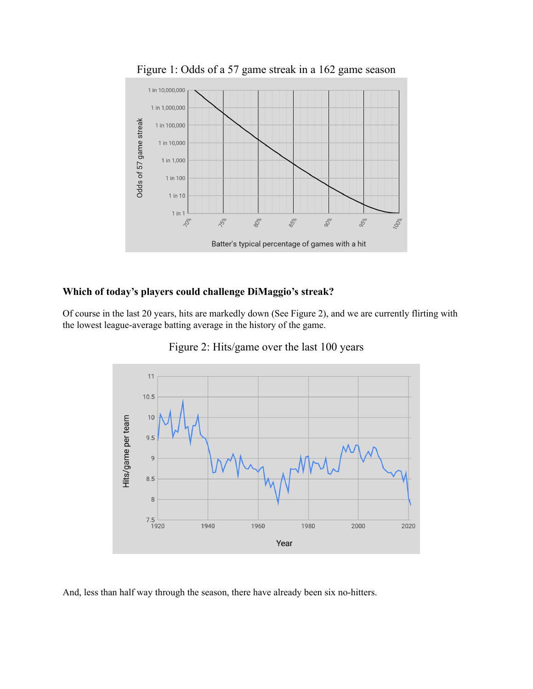

Figure 1: Odds of a 57 game streak in a 162 game season

## **Which of today's players could challenge DiMaggio's streak?**

Of course in the last 20 years, hits are markedly down (See Figure 2), and we are currently flirting with the lowest league-average batting average in the history of the game.



Figure 2: Hits/game over the last 100 years

And, less than half way through the season, there have already been six no-hitters.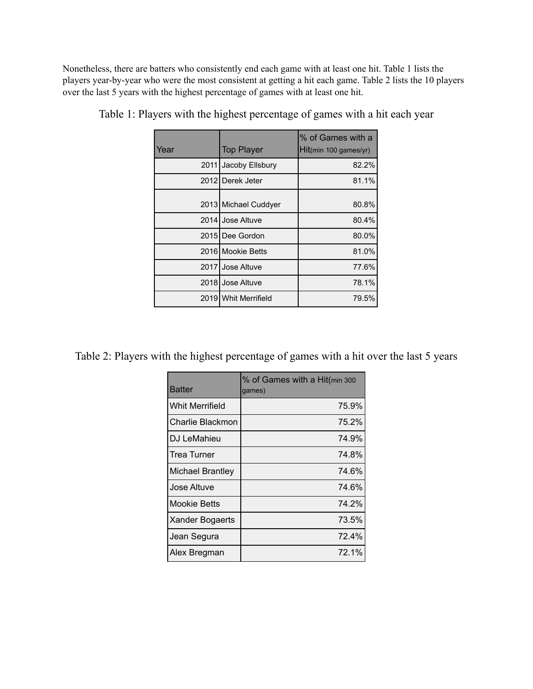Nonetheless, there are batters who consistently end each game with at least one hit. Table 1 lists the players year-by-year who were the most consistent at getting a hit each game. Table 2 lists the 10 players over the last 5 years with the highest percentage of games with at least one hit.

| Year | <b>Top Player</b>    | % of Games with a<br>Hit(min 100 games/yr) |
|------|----------------------|--------------------------------------------|
| 2011 | Jacoby Ellsbury      | 82.2%                                      |
|      | 2012 Derek Jeter     | 81.1%                                      |
|      | 2013 Michael Cuddyer | 80.8%                                      |
|      | 2014 Jose Altuve     | 80.4%                                      |
|      | 2015 Dee Gordon      | 80.0%                                      |
|      | 2016 Mookie Betts    | 81.0%                                      |
|      | 2017 Jose Altuve     | 77.6%                                      |
| 2018 | Jose Altuve          | 78.1%                                      |
|      | 2019 Whit Merrifield | 79.5%                                      |

| Table 1: Players with the highest percentage of games with a hit each year |
|----------------------------------------------------------------------------|
|----------------------------------------------------------------------------|

Table 2: Players with the highest percentage of games with a hit over the last 5 years

| Batter                  | % of Games with a Hit(min 300<br>qames) |  |
|-------------------------|-----------------------------------------|--|
| <b>Whit Merrifield</b>  | 75.9%                                   |  |
| Charlie Blackmon        | 75.2%                                   |  |
| DJ LeMahieu             | 74.9%                                   |  |
| Trea Turner             | 74.8%                                   |  |
| <b>Michael Brantley</b> | 74.6%                                   |  |
| Jose Altuve             | 74.6%                                   |  |
| Mookie Betts            | 74.2%                                   |  |
| Xander Bogaerts         | 73.5%                                   |  |
| Jean Segura             | 72.4%                                   |  |
| Alex Bregman            | 72.1%                                   |  |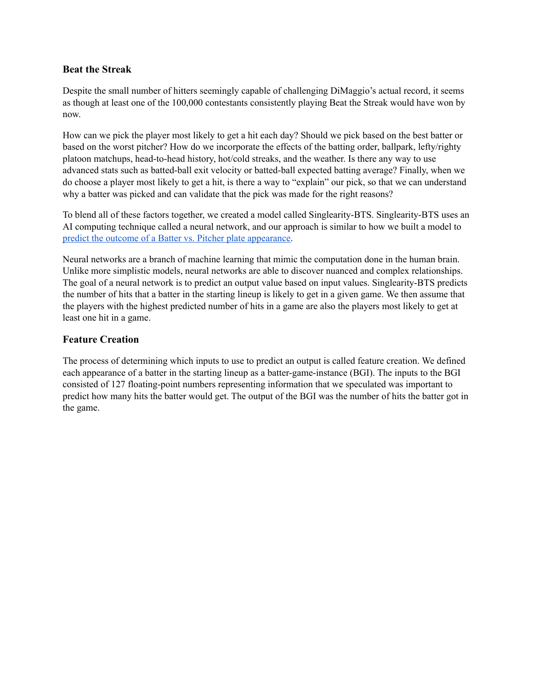#### **Beat the Streak**

Despite the small number of hitters seemingly capable of challenging DiMaggio's actual record, it seems as though at least one of the 100,000 contestants consistently playing Beat the Streak would have won by now.

How can we pick the player most likely to get a hit each day? Should we pick based on the best batter or based on the worst pitcher? How do we incorporate the effects of the batting order, ballpark, lefty/righty platoon matchups, head-to-head history, hot/cold streaks, and the weather. Is there any way to use advanced stats such as batted-ball exit velocity or batted-ball expected batting average? Finally, when we do choose a player most likely to get a hit, is there a way to "explain" our pick, so that we can understand why a batter was picked and can validate that the pick was made for the right reasons?

To blend all of these factors together, we created a model called Singlearity-BTS. Singlearity-BTS uses an AI computing technique called a neural network, and our approach is similar to how we built a model to predict the outcome of a Batter vs. Pitcher plate [appearance.](https://www.baseballprospectus.com/news/article/59993/singlearity-using-a-neural-network-to-predict-the-outcome-of-plate-appearances/)

Neural networks are a branch of machine learning that mimic the computation done in the human brain. Unlike more simplistic models, neural networks are able to discover nuanced and complex relationships. The goal of a neural network is to predict an output value based on input values. Singlearity-BTS predicts the number of hits that a batter in the starting lineup is likely to get in a given game. We then assume that the players with the highest predicted number of hits in a game are also the players most likely to get at least one hit in a game.

#### **Feature Creation**

The process of determining which inputs to use to predict an output is called feature creation. We defined each appearance of a batter in the starting lineup as a batter-game-instance (BGI). The inputs to the BGI consisted of 127 floating-point numbers representing information that we speculated was important to predict how many hits the batter would get. The output of the BGI was the number of hits the batter got in the game.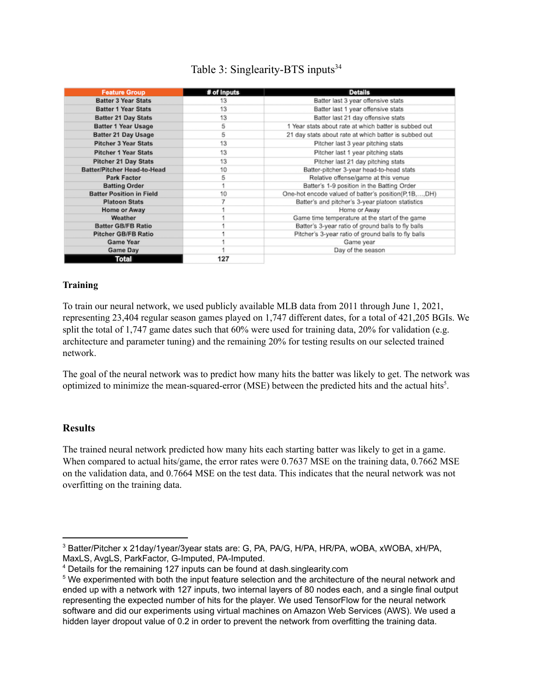# Table 3: Singlearity-BTS inputs<sup>34</sup>

| <b>Feature Group</b>            | # of Inputs | <b>Details</b>                                        |  |
|---------------------------------|-------------|-------------------------------------------------------|--|
| <b>Batter 3 Year Stats</b>      | 13          | Batter last 3 year offensive stats                    |  |
| <b>Batter 1 Year Stats</b>      | 13          | Batter last 1 year offensive stats                    |  |
| <b>Batter 21 Day Stats</b>      | 13          | Batter last 21 day offensive stats                    |  |
| Batter 1 Year Usage             | 5           | 1 Year stats about rate at which batter is subbed out |  |
| Batter 21 Day Usage             | 5           | 21 day stats about rate at which batter is subbed out |  |
| <b>Pitcher 3 Year Stats</b>     | 13          | Pitcher last 3 year pitching stats                    |  |
| <b>Pitcher 1 Year Stats</b>     | 13          | Pitcher last 1 year pitching stats                    |  |
| <b>Pitcher 21 Day Stats</b>     | 13          | Pitcher last 21 day pitching stats                    |  |
| Batter/Pitcher Head-to-Head     | 10          | Batter-pitcher 3-year head-to-head stats              |  |
| Park Factor                     | 5           | Relative offense/game at this venue                   |  |
| <b>Batting Order</b>            |             | Batter's 1-9 position in the Batting Order            |  |
| <b>Batter Position in Field</b> | 10          | One-hot encode valued of batter's position(P,1B,,DH)  |  |
| <b>Platoon Stats</b>            |             | Batter's and pitcher's 3-year platoon statistics      |  |
| Home or Away                    |             | Home or Away                                          |  |
| Weather                         |             | Game time temperature at the start of the game        |  |
| <b>Batter GB/FB Ratio</b>       |             | Batter's 3-year ratio of ground balls to fly balls    |  |
| <b>Pitcher GB/FB Ratio</b>      |             | Pitcher's 3-year ratio of ground balls to fly balls   |  |
| Game Year                       |             | Game year                                             |  |
| Game Day                        |             | Day of the season                                     |  |
| <b>Total</b>                    | 127         |                                                       |  |

#### **Training**

To train our neural network, we used publicly available MLB data from 2011 through June 1, 2021, representing 23,404 regular season games played on 1,747 different dates, for a total of 421,205 BGIs. We split the total of 1,747 game dates such that 60% were used for training data, 20% for validation (e.g. architecture and parameter tuning) and the remaining 20% for testing results on our selected trained network.

The goal of the neural network was to predict how many hits the batter was likely to get. The network was optimized to minimize the mean-squared-error (MSE) between the predicted hits and the actual hits<sup>5</sup>.

#### **Results**

The trained neural network predicted how many hits each starting batter was likely to get in a game. When compared to actual hits/game, the error rates were 0.7637 MSE on the training data, 0.7662 MSE on the validation data, and 0.7664 MSE on the test data. This indicates that the neural network was not overfitting on the training data.

<sup>3</sup> Batter/Pitcher x 21day/1year/3year stats are: G, PA, PA/G, H/PA, HR/PA, wOBA, xWOBA, xH/PA, MaxLS, AvgLS, ParkFactor, G-Imputed, PA-Imputed.

<sup>4</sup> Details for the remaining 127 inputs can be found at dash.singlearity.com

<sup>&</sup>lt;sup>5</sup> We experimented with both the input feature selection and the architecture of the neural network and ended up with a network with 127 inputs, two internal layers of 80 nodes each, and a single final output representing the expected number of hits for the player. We used TensorFlow for the neural network software and did our experiments using virtual machines on Amazon Web Services (AWS). We used a hidden layer dropout value of 0.2 in order to prevent the network from overfitting the training data.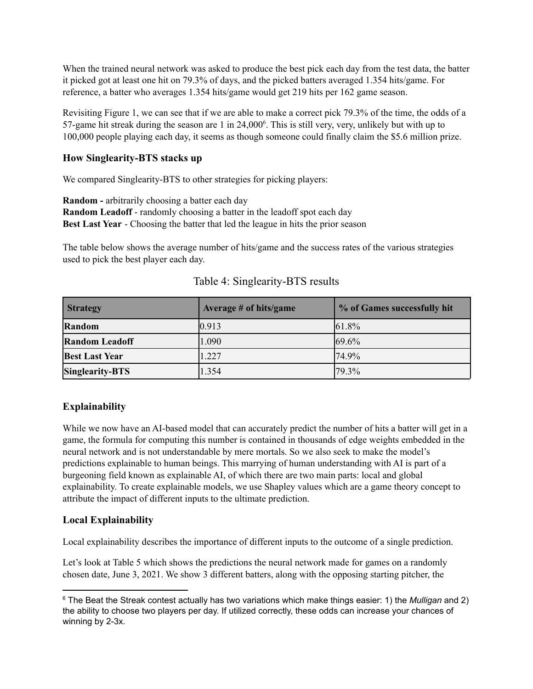When the trained neural network was asked to produce the best pick each day from the test data, the batter it picked got at least one hit on 79.3% of days, and the picked batters averaged 1.354 hits/game. For reference, a batter who averages 1.354 hits/game would get 219 hits per 162 game season.

Revisiting Figure 1, we can see that if we are able to make a correct pick 79.3% of the time, the odds of a 57-game hit streak during the season are  $1$  in  $24,000^6$ . This is still very, very, unlikely but with up to 100,000 people playing each day, it seems as though someone could finally claim the \$5.6 million prize.

## **How Singlearity-BTS stacks up**

We compared Singlearity-BTS to other strategies for picking players:

**Random -** arbitrarily choosing a batter each day **Random Leadoff** - randomly choosing a batter in the leadoff spot each day **Best Last Year** - Choosing the batter that led the league in hits the prior season

The table below shows the average number of hits/game and the success rates of the various strategies used to pick the best player each day.

| <b>Strategy</b>        | Average $#$ of hits/game | % of Games successfully hit |  |
|------------------------|--------------------------|-----------------------------|--|
| Random                 | 0.913                    | 61.8%                       |  |
| <b>Random Leadoff</b>  | 1.090                    | 69.6%                       |  |
| <b>Best Last Year</b>  | 1.227                    | 74.9%                       |  |
| <b>Singlearity-BTS</b> | 1.354                    | 79.3%                       |  |

## Table 4: Singlearity-BTS results

## **Explainability**

While we now have an AI-based model that can accurately predict the number of hits a batter will get in a game, the formula for computing this number is contained in thousands of edge weights embedded in the neural network and is not understandable by mere mortals. So we also seek to make the model's predictions explainable to human beings. This marrying of human understanding with AI is part of a burgeoning field known as explainable AI, of which there are two main parts: local and global explainability. To create explainable models, we use Shapley values which are a game theory concept to attribute the impact of different inputs to the ultimate prediction.

## **Local Explainability**

Local explainability describes the importance of different inputs to the outcome of a single prediction.

Let's look at Table 5 which shows the predictions the neural network made for games on a randomly chosen date, June 3, 2021. We show 3 different batters, along with the opposing starting pitcher, the

<sup>6</sup> The Beat the Streak contest actually has two variations which make things easier: 1) the *Mulligan* and 2) the ability to choose two players per day. If utilized correctly, these odds can increase your chances of winning by 2-3x.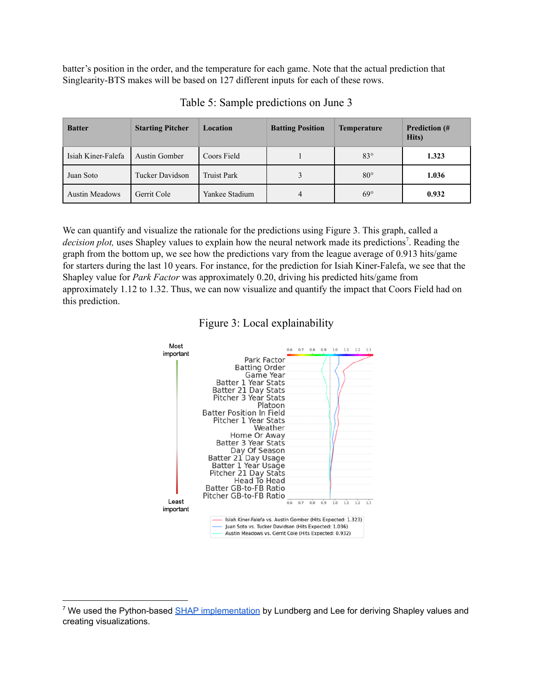batter's position in the order, and the temperature for each game. Note that the actual prediction that Singlearity-BTS makes will be based on 127 different inputs for each of these rows.

| <b>Batter</b>         | <b>Starting Pitcher</b> | Location           | <b>Batting Position</b> | <b>Temperature</b> | <b>Prediction</b> (#<br>Hits) |
|-----------------------|-------------------------|--------------------|-------------------------|--------------------|-------------------------------|
| Isiah Kiner-Falefa    | <b>Austin Gomber</b>    | Coors Field        |                         | $83^\circ$         | 1.323                         |
| Juan Soto             | Tucker Davidson         | <b>Truist Park</b> |                         | $80^\circ$         | 1.036                         |
| <b>Austin Meadows</b> | Gerrit Cole             | Yankee Stadium     | $\overline{4}$          | $69^\circ$         | 0.932                         |

Table 5: Sample predictions on June 3

We can quantify and visualize the rationale for the predictions using Figure 3. This graph, called a decision plot, uses Shapley values to explain how the neural network made its predictions<sup>7</sup>. Reading the graph from the bottom up, we see how the predictions vary from the league average of 0.913 hits/game for starters during the last 10 years. For instance, for the prediction for Isiah Kiner-Falefa, we see that the Shapley value for *Park Factor* was approximately 0.20, driving his predicted hits/game from approximately 1.12 to 1.32. Thus, we can now visualize and quantify the impact that Coors Field had on this prediction.

#### Figure 3: Local explainability

![](_page_6_Figure_5.jpeg)

<sup>&</sup>lt;sup>7</sup> We used the Python-based SHAP [implementation](https://github.com/slundberg/shap) by Lundberg and Lee for deriving Shapley values and creating visualizations.